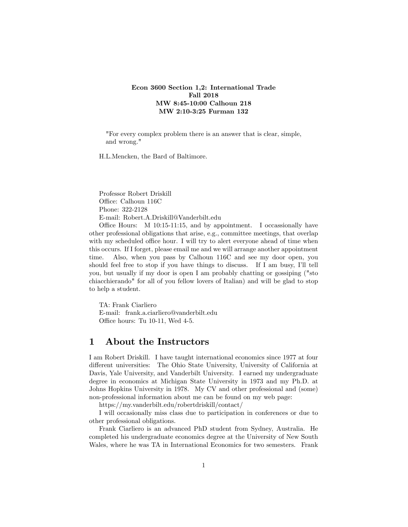## Econ 3600 Section 1,2: International Trade Fall 2018 MW 8:45-10:00 Calhoun 218 MW 2:10-3:25 Furman 132

"For every complex problem there is an answer that is clear, simple, and wrong."

H.L.Mencken, the Bard of Baltimore.

Professor Robert Driskill Office: Calhoun 116C Phone: 322-2128 E-mail: Robert.A.Driskill@Vanderbilt.edu

Office Hours:  $M$  10:15-11:15, and by appointment. I occassionally have other professional obligations that arise, e.g., committee meetings, that overlap with my scheduled office hour. I will try to alert everyone ahead of time when this occurs. If I forget, please email me and we will arrange another appointment time. Also, when you pass by Calhoun 116C and see my door open, you should feel free to stop if you have things to discuss. If I am busy, Iíll tell you, but usually if my door is open I am probably chatting or gossiping ("sto chiacchierando" for all of you fellow lovers of Italian) and will be glad to stop to help a student.

TA: Frank Ciarliero E-mail: frank.a.ciarliero@vanderbilt.edu Office hours: Tu 10-11, Wed 4-5.

## 1 About the Instructors

I am Robert Driskill. I have taught international economics since 1977 at four different universities: The Ohio State University, University of California at Davis, Yale University, and Vanderbilt University. I earned my undergraduate degree in economics at Michigan State University in 1973 and my Ph.D. at Johns Hopkins University in 1978. My CV and other professional and (some) non-professional information about me can be found on my web page:

https://my.vanderbilt.edu/robertdriskill/contact/

I will occasionally miss class due to participation in conferences or due to other professional obligations.

Frank Ciarliero is an advanced PhD student from Sydney, Australia. He completed his undergraduate economics degree at the University of New South Wales, where he was TA in International Economics for two semesters. Frank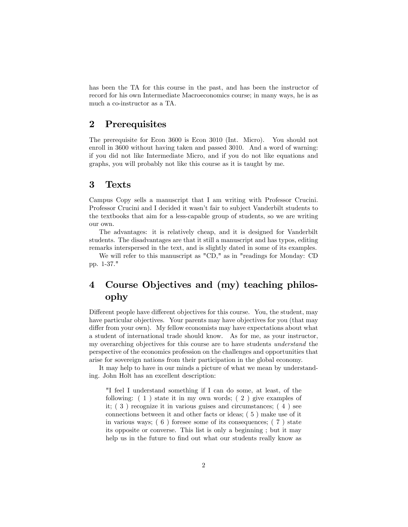has been the TA for this course in the past, and has been the instructor of record for his own Intermediate Macroeconomics course; in many ways, he is as much a co-instructor as a TA.

## 2 Prerequisites

The prerequisite for Econ 3600 is Econ 3010 (Int. Micro). You should not enroll in 3600 without having taken and passed 3010. And a word of warning: if you did not like Intermediate Micro, and if you do not like equations and graphs, you will probably not like this course as it is taught by me.

## 3 Texts

Campus Copy sells a manuscript that I am writing with Professor Crucini. Professor Crucini and I decided it wasn't fair to subject Vanderbilt students to the textbooks that aim for a less-capable group of students, so we are writing our own.

The advantages: it is relatively cheap, and it is designed for Vanderbilt students. The disadvantages are that it still a manuscript and has typos, editing remarks interspersed in the text, and is slightly dated in some of its examples.

We will refer to this manuscript as "CD," as in "readings for Monday: CD pp. 1-37."

# 4 Course Objectives and (my) teaching philosophy

Different people have different objectives for this course. You, the student, may have particular objectives. Your parents may have objectives for you (that may differ from your own). My fellow economists may have expectations about what a student of international trade should know. As for me, as your instructor, my overarching objectives for this course are to have students understand the perspective of the economics profession on the challenges and opportunities that arise for sovereign nations from their participation in the global economy.

It may help to have in our minds a picture of what we mean by understanding. John Holt has an excellent description:

"I feel I understand something if I can do some, at least, of the following: ( 1 ) state it in my own words; ( 2 ) give examples of it; ( 3 ) recognize it in various guises and circumstances; ( 4 ) see connections between it and other facts or ideas; ( 5 ) make use of it in various ways; ( 6 ) foresee some of its consequences; ( 7 ) state its opposite or converse. This list is only a beginning ; but it may help us in the future to find out what our students really know as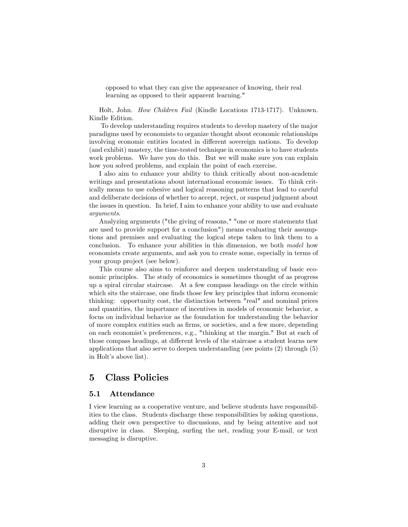opposed to what they can give the appearance of knowing, their real learning as opposed to their apparent learning."

Holt, John. How Children Fail (Kindle Locations 1713-1717). Unknown. Kindle Edition.

To develop understanding requires students to develop mastery of the major paradigms used by economists to organize thought about economic relationships involving economic entities located in different sovereign nations. To develop (and exhibit) mastery, the time-tested technique in economics is to have students work problems. We have you do this. But we will make sure you can explain how you solved problems, and explain the point of each exercise.

I also aim to enhance your ability to think critically about non-academic writings and presentations about international economic issues. To think critically means to use cohesive and logical reasoning patterns that lead to careful and deliberate decisions of whether to accept, reject, or suspend judgment about the issues in question. In brief, I aim to enhance your ability to use and evaluate arguments.

Analyzing arguments ("the giving of reasons," "one or more statements that are used to provide support for a conclusion") means evaluating their assumptions and premises and evaluating the logical steps taken to link them to a conclusion. To enhance your abilities in this dimension, we both model how economists create arguments, and ask you to create some, especially in terms of your group project (see below).

This course also aims to reinforce and deepen understanding of basic economic principles. The study of economics is sometimes thought of as progress up a spiral circular staircase. At a few compass headings on the circle within which sits the staircase, one finds those few key principles that inform economic thinking: opportunity cost, the distinction between "real" and nominal prices and quantities, the importance of incentives in models of economic behavior, a focus on individual behavior as the foundation for understanding the behavior of more complex entities such as Örms, or societies, and a few more, depending on each economist's preferences, e.g., "thinking at the margin." But at each of those compass headings, at different levels of the staircase a student learns new applications that also serve to deepen understanding (see points (2) through (5) in Holt's above list).

## 5 Class Policies

#### 5.1 Attendance

I view learning as a cooperative venture, and believe students have responsibilities to the class. Students discharge these responsibilities by asking questions, adding their own perspective to discussions, and by being attentive and not disruptive in class. Sleeping, surfing the net, reading your E-mail, or text messaging is disruptive.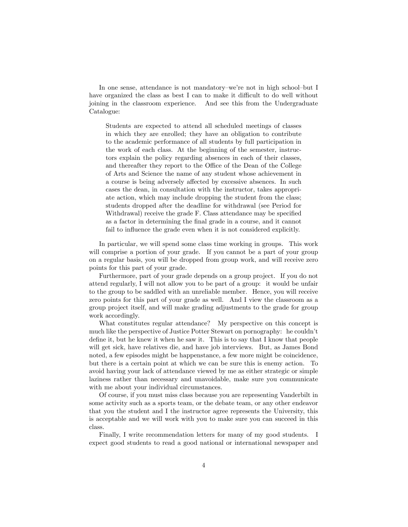In one sense, attendance is not mandatory–we're not in high school–but I have organized the class as best I can to make it difficult to do well without joining in the classroom experience. And see this from the Undergraduate Catalogue:

Students are expected to attend all scheduled meetings of classes in which they are enrolled; they have an obligation to contribute to the academic performance of all students by full participation in the work of each class. At the beginning of the semester, instructors explain the policy regarding absences in each of their classes, and thereafter they report to the Office of the Dean of the College of Arts and Science the name of any student whose achievement in a course is being adversely affected by excessive absences. In such cases the dean, in consultation with the instructor, takes appropriate action, which may include dropping the student from the class; students dropped after the deadline for withdrawal (see Period for Withdrawal) receive the grade F. Class attendance may be specified as a factor in determining the Önal grade in a course, and it cannot fail to influence the grade even when it is not considered explicitly.

In particular, we will spend some class time working in groups. This work will comprise a portion of your grade. If you cannot be a part of your group on a regular basis, you will be dropped from group work, and will receive zero points for this part of your grade.

Furthermore, part of your grade depends on a group project. If you do not attend regularly, I will not allow you to be part of a group: it would be unfair to the group to be saddled with an unreliable member. Hence, you will receive zero points for this part of your grade as well. And I view the classroom as a group project itself, and will make grading adjustments to the grade for group work accordingly.

What constitutes regular attendance? My perspective on this concept is much like the perspective of Justice Potter Stewart on pornography: he couldn't define it, but he knew it when he saw it. This is to say that I know that people will get sick, have relatives die, and have job interviews. But, as James Bond noted, a few episodes might be happenstance, a few more might be coincidence, but there is a certain point at which we can be sure this is enemy action. To avoid having your lack of attendance viewed by me as either strategic or simple laziness rather than necessary and unavoidable, make sure you communicate with me about your individual circumstances.

Of course, if you must miss class because you are representing Vanderbilt in some activity such as a sports team, or the debate team, or any other endeavor that you the student and I the instructor agree represents the University, this is acceptable and we will work with you to make sure you can succeed in this class.

Finally, I write recommendation letters for many of my good students. I expect good students to read a good national or international newspaper and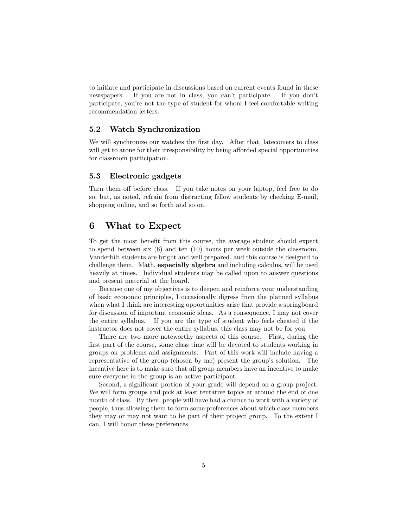to initiate and participate in discussions based on current events found in these newspapers. If you are not in class, you can't participate. If you don't participate, youíre not the type of student for whom I feel comfortable writing recommendation letters.

## 5.2 Watch Synchronization

We will synchronize our watches the first day. After that, latecomers to class will get to atone for their irresponsibility by being afforded special opportunities for classroom participation.

#### 5.3 Electronic gadgets

Turn them off before class. If you take notes on your laptop, feel free to do so, but, as noted, refrain from distracting fellow students by checking E-mail, shopping online, and so forth and so on.

## 6 What to Expect

To get the most benefit from this course, the average student should expect to spend between six (6) and ten (10) hours per week outside the classroom. Vanderbilt students are bright and well prepared, and this course is designed to challenge them. Math, especially algebra and including calculus, will be used heavily at times. Individual students may be called upon to answer questions and present material at the board.

Because one of my objectives is to deepen and reinforce your understanding of basic economic principles, I occasionally digress from the planned syllabus when what I think are interesting opportunities arise that provide a springboard for discussion of important economic ideas. As a consequence, I may not cover the entire syllabus. If you are the type of student who feels cheated if the instructor does not cover the entire syllabus, this class may not be for you.

There are two more noteworthy aspects of this course. First, during the first part of the course, some class time will be devoted to students working in groups on problems and assignments. Part of this work will include having a representative of the group (chosen by me) present the group's solution. The incentive here is to make sure that all group members have an incentive to make sure everyone in the group is an active participant.

Second, a significant portion of your grade will depend on a group project. We will form groups and pick at least tentative topics at around the end of one month of class. By then, people will have had a chance to work with a variety of people, thus allowing them to form some preferences about which class members they may or may not want to be part of their project group. To the extent I can, I will honor these preferences.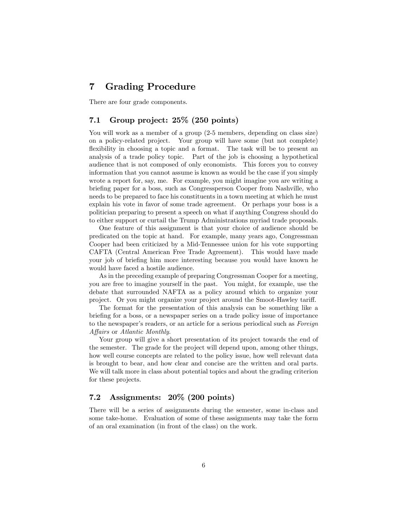# 7 Grading Procedure

There are four grade components.

## 7.1 Group project: 25% (250 points)

You will work as a member of a group  $(2-5$  members, depending on class size) on a policy-related project. Your group will have some (but not complete) flexibility in choosing a topic and a format. The task will be to present an analysis of a trade policy topic. Part of the job is choosing a hypothetical audience that is not composed of only economists. This forces you to convey information that you cannot assume is known as would be the case if you simply wrote a report for, say, me. For example, you might imagine you are writing a briefing paper for a boss, such as Congressperson Cooper from Nashville, who needs to be prepared to face his constituents in a town meeting at which he must explain his vote in favor of some trade agreement. Or perhaps your boss is a politician preparing to present a speech on what if anything Congress should do to either support or curtail the Trump Administrations myriad trade proposals.

One feature of this assignment is that your choice of audience should be predicated on the topic at hand. For example, many years ago, Congressman Cooper had been criticized by a Mid-Tennessee union for his vote supporting CAFTA (Central American Free Trade Agreement). This would have made your job of briefing him more interesting because you would have known he would have faced a hostile audience.

As in the preceding example of preparing Congressman Cooper for a meeting, you are free to imagine yourself in the past. You might, for example, use the debate that surrounded NAFTA as a policy around which to organize your project. Or you might organize your project around the Smoot-Hawley tariff.

The format for the presentation of this analysis can be something like a briefing for a boss, or a newspaper series on a trade policy issue of importance to the newspaper's readers, or an article for a serious periodical such as Foreign Affairs or Atlantic Monthly.

Your group will give a short presentation of its project towards the end of the semester. The grade for the project will depend upon, among other things, how well course concepts are related to the policy issue, how well relevant data is brought to bear, and how clear and concise are the written and oral parts. We will talk more in class about potential topics and about the grading criterion for these projects.

## 7.2 Assignments: 20% (200 points)

There will be a series of assignments during the semester, some in-class and some take-home. Evaluation of some of these assignments may take the form of an oral examination (in front of the class) on the work.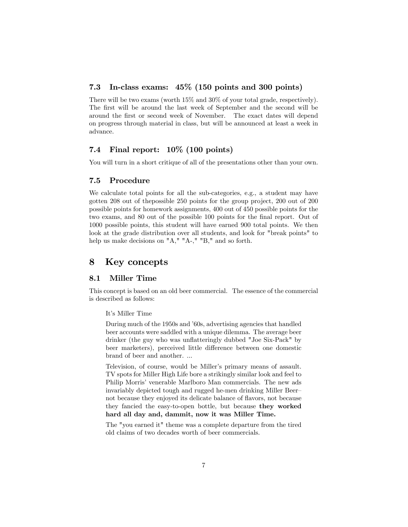## 7.3 In-class exams: 45% (150 points and 300 points)

There will be two exams (worth 15% and 30% of your total grade, respectively). The first will be around the last week of September and the second will be around the Örst or second week of November. The exact dates will depend on progress through material in class, but will be announced at least a week in advance.

## 7.4 Final report: 10% (100 points)

You will turn in a short critique of all of the presentations other than your own.

### 7.5 Procedure

We calculate total points for all the sub-categories, e.g., a student may have gotten 208 out of thepossible 250 points for the group project, 200 out of 200 possible points for homework assignments, 400 out of 450 possible points for the two exams, and 80 out of the possible 100 points for the final report. Out of 1000 possible points, this student will have earned 900 total points. We then look at the grade distribution over all students, and look for "break points" to help us make decisions on "A," "A-," "B," and so forth.

## 8 Key concepts

## 8.1 Miller Time

This concept is based on an old beer commercial. The essence of the commercial is described as follows:

It's Miller Time

During much of the 1950s and '60s, advertising agencies that handled beer accounts were saddled with a unique dilemma. The average beer drinker (the guy who was unflatteringly dubbed "Joe Six-Pack" by beer marketers), perceived little difference between one domestic brand of beer and another. ...

Television, of course, would be Miller's primary means of assault. TV spots for Miller High Life bore a strikingly similar look and feel to Philip Morris' venerable Marlboro Man commercials. The new ads invariably depicted tough and rugged he-men drinking Miller Beernot because they enjoyed its delicate balance of flavors, not because they fancied the easy-to-open bottle, but because they worked hard all day and, dammit, now it was Miller Time.

The "you earned it" theme was a complete departure from the tired old claims of two decades worth of beer commercials.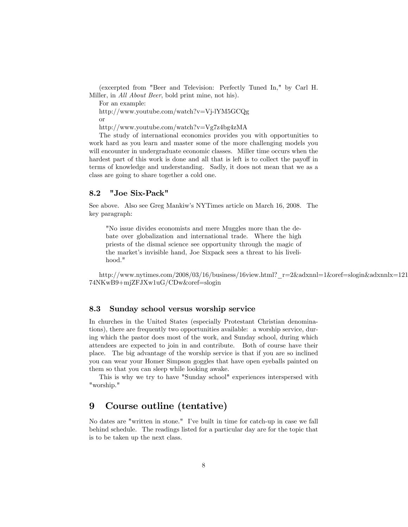(excerpted from "Beer and Television: Perfectly Tuned In," by Carl H. Miller, in All About Beer, bold print mine, not his).

For an example:

http://www.youtube.com/watch?v=Vj-lYM5GCQg or

http://www.youtube.com/watch?v=Vg7z4bg4zMA

The study of international economics provides you with opportunities to work hard as you learn and master some of the more challenging models you will encounter in undergraduate economic classes. Miller time occurs when the hardest part of this work is done and all that is left is to collect the payoff in terms of knowledge and understanding. Sadly, it does not mean that we as a class are going to share together a cold one.

### 8.2 "Joe Six-Pack"

See above. Also see Greg Mankiwís NYTimes article on March 16, 2008. The key paragraph:

"No issue divides economists and mere Muggles more than the debate over globalization and international trade. Where the high priests of the dismal science see opportunity through the magic of the market's invisible hand, Joe Sixpack sees a threat to his livelihood."

http://www.nytimes.com/2008/03/16/business/16view.html?\_r=2&adxnnl=1&oref=slogin&adxnnlx=121 74NKwB9+mjZFJXw1uG/CDw&oref=slogin

## 8.3 Sunday school versus worship service

In churches in the United States (especially Protestant Christian denominations), there are frequently two opportunities available: a worship service, during which the pastor does most of the work, and Sunday school, during which attendees are expected to join in and contribute. Both of course have their place. The big advantage of the worship service is that if you are so inclined you can wear your Homer Simpson goggles that have open eyeballs painted on them so that you can sleep while looking awake.

This is why we try to have "Sunday school" experiences interspersed with "worship."

# 9 Course outline (tentative)

No dates are "written in stone." Iíve built in time for catch-up in case we fall behind schedule. The readings listed for a particular day are for the topic that is to be taken up the next class.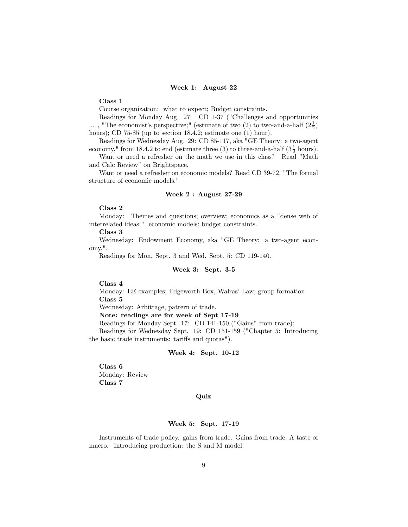#### Week 1: August 22

#### Class 1

Course organization; what to expect; Budget constraints.

Readings for Monday Aug. 27: CD 1-37 ("Challenges and opportunities  $\ldots$  , "The economist's perspective;" (estimate of two (2) to two-and-a-half  $(2\frac{1}{2})$ hours); CD 75-85 (up to section 18.4.2; estimate one (1) hour).

Readings for Wednesday Aug. 29: CD 85-117, aka "GE Theory: a two-agent economy," from 18.4.2 to end (estimate three (3) to three-and-a-half  $(3\frac{1}{2}$  hours).

Want or need a refresher on the math we use in this class? Read "Math and Calc Review" on Brightspace.

Want or need a refresher on economic models? Read CD 39-72, "The formal structure of economic models."

#### Week 2 : August 27-29

### Class 2

Monday: Themes and questions; overview; economics as a "dense web of interrelated ideas;" economic models; budget constraints.

Class 3

Wednesday: Endowment Economy, aka "GE Theory: a two-agent economy.".

Readings for Mon. Sept. 3 and Wed. Sept. 5: CD 119-140.

#### Week 3: Sept. 3-5

Class 4

Monday: EE examples; Edgeworth Box, Walras' Law; group formation Class 5

Wednesday: Arbitrage, pattern of trade.

Note: readings are for week of Sept 17-19

Readings for Monday Sept. 17: CD 141-150 ("Gains" from trade);

Readings for Wednesday Sept. 19: CD 151-159 ("Chapter 5: Introducing the basic trade instruments: tariffs and quotas").

#### Week 4: Sept. 10-12

Class 6 Monday: Review Class 7

#### Quiz

### Week 5: Sept. 17-19

Instruments of trade policy. gains from trade. Gains from trade; A taste of macro. Introducing production: the S and M model.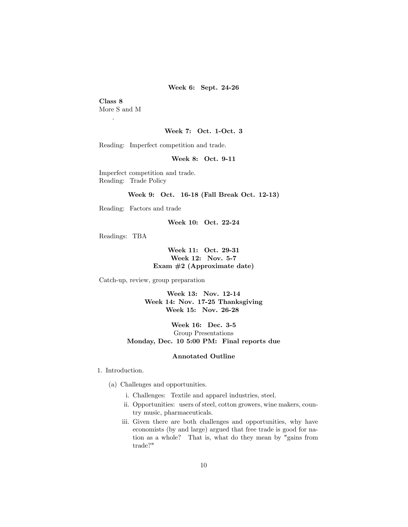Week 6: Sept. 24-26

## Class 8 More S and M

.

#### Week 7: Oct. 1-Oct. 3

Reading: Imperfect competition and trade.

### Week 8: Oct. 9-11

Imperfect competition and trade. Reading: Trade Policy

### Week 9: Oct. 16-18 (Fall Break Oct. 12-13)

Reading: Factors and trade

Week 10: Oct. 22-24

Readings: TBA

Week 11: Oct. 29-31 Week 12: Nov. 5-7 Exam #2 (Approximate date)

Catch-up, review, group preparation

Week 13: Nov. 12-14 Week 14: Nov. 17-25 Thanksgiving Week 15: Nov. 26-28

Week 16: Dec. 3-5 Group Presentations Monday, Dec. 10 5:00 PM: Final reports due

#### Annotated Outline

1. Introduction.

- (a) Challenges and opportunities.
	- i. Challenges: Textile and apparel industries, steel.
	- ii. Opportunities: users of steel, cotton growers, wine makers, country music, pharmaceuticals.
	- iii. Given there are both challenges and opportunities, why have economists (by and large) argued that free trade is good for nation as a whole? That is, what do they mean by "gains from trade?"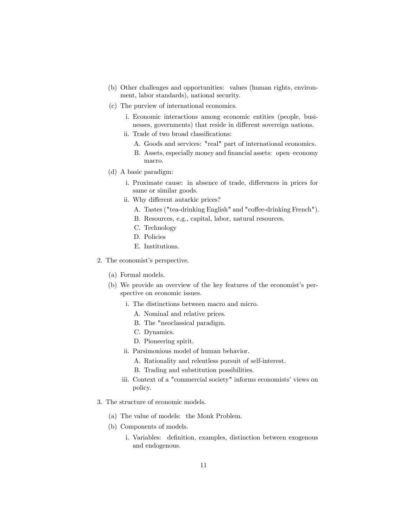- (b) Other challenges and opportunities: values (human rights, environment, labor standards), national security.
- (c) The purview of international economics.
	- i. Economic interactions among economic entities (people, businesses, governments) that reside in different sovereign nations.
	- ii. Trade of two broad classifications:
		- A. Goods and services: "real" part of international economics.
		- B. Assets, especially money and financial assets: open-economy macro.
- (d) A basic paradigm:
	- i. Proximate cause: in absence of trade, differences in prices for same or similar goods.
	- ii. Why different autarkic prices?
		- A. Tastes ("tea-drinking English" and "coffee-drinking French").
		- B. Resources, e.g., capital, labor, natural resources.
		- C. Technology
		- D. Policies
		- E. Institutions.
- 2. The economist's perspective.
	- (a) Formal models.
	- (b) We provide an overview of the key features of the economist's perspective on economic issues.
		- i. The distinctions between macro and micro.
			- A. Nominal and relative prices.
			- B. The "neoclassical paradigm.
			- C. Dynamics.
			- D. Pioneering spirit.
		- ii. Parsimonious model of human behavior.
			- A. Rationality and relentless pursuit of self-interest.
			- B. Trading and substitution possibilities.
		- iii. Context of a "commercial society" informs economists' views on policy.
- 3. The structure of economic models.
	- (a) The value of models: the Monk Problem.
	- (b) Components of models.
		- i. Variables: definition, examples, distinction between exogenous and endogenous.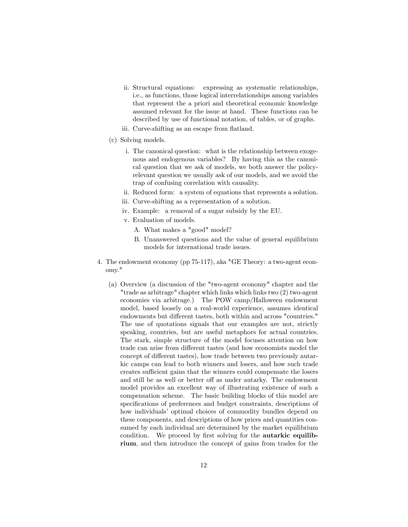- ii. Structural equations: expressing as systematic relationships, i.e., as functions, those logical interrelationships among variables that represent the a priori and theoretical economic knowledge assumed relevant for the issue at hand. These functions can be described by use of functional notation, of tables, or of graphs.
- iii. Curve-shifting as an escape from flatland.
- (c) Solving models.
	- i. The canonical question: what is the relationship between exogenous and endogenous variables? By having this as the canonical question that we ask of models, we both answer the policyrelevant question we usually ask of our models, and we avoid the trap of confusing correlation with causality.
	- ii. Reduced form: a system of equations that represents a solution.
	- iii. Curve-shifting as a representation of a solution.
	- iv. Example: a removal of a sugar subsidy by the EU.
	- v. Evaluation of models.
		- A. What makes a "good" model?
		- B. Unanswered questions and the value of general equilibrium models for international trade issues.
- 4. The endowment economy (pp 75-117), aka "GE Theory: a two-agent economy."
	- (a) Overview (a discussion of the "two-agent economy" chapter and the "trade as arbitrage" chapter which links which links two (2) two-agent economies via arbitrage.) The POW camp/Halloween endowment model, based loosely on a real-world experience, assumes identical endowments but different tastes, both within and across "countries." The use of quotations signals that our examples are not, strictly speaking, countries, but are useful metaphors for actual countries. The stark, simple structure of the model focuses attention on how trade can arise from different tastes (and how economists model the concept of different tastes), how trade between two previously autarkic camps can lead to both winners and losers, and how such trade creates sufficient gains that the winners could compensate the losers and still be as well or better off as under autarky. The endowment model provides an excellent way of illustrating existence of such a compensation scheme. The basic building blocks of this model are specifications of preferences and budget constraints, descriptions of how individuals' optimal choices of commodity bundles depend on these components, and descriptions of how prices and quantities consumed by each individual are determined by the market equilibrium condition. We proceed by first solving for the **autarkic equilib**rium, and then introduce the concept of gains from trades for the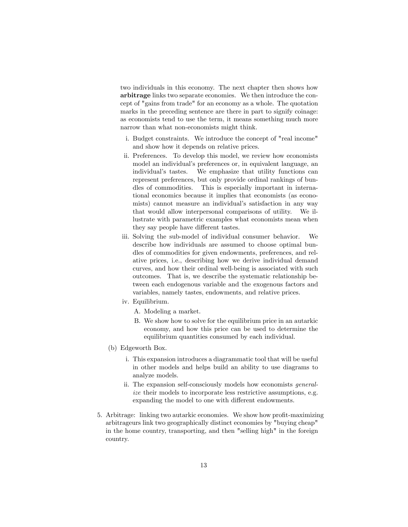two individuals in this economy. The next chapter then shows how arbitrage links two separate economies. We then introduce the concept of "gains from trade" for an economy as a whole. The quotation marks in the preceding sentence are there in part to signify coinage: as economists tend to use the term, it means something much more narrow than what non-economists might think.

- i. Budget constraints. We introduce the concept of "real income" and show how it depends on relative prices.
- ii. Preferences. To develop this model, we review how economists model an individual's preferences or, in equivalent language, an individual's tastes. We emphasize that utility functions can represent preferences, but only provide ordinal rankings of bundles of commodities. This is especially important in international economics because it implies that economists (as economists) cannot measure an individual's satisfaction in any way that would allow interpersonal comparisons of utility. We illustrate with parametric examples what economists mean when they say people have different tastes.
- iii. Solving the sub-model of individual consumer behavior. We describe how individuals are assumed to choose optimal bundles of commodities for given endowments, preferences, and relative prices, i.e., describing how we derive individual demand curves, and how their ordinal well-being is associated with such outcomes. That is, we describe the systematic relationship between each endogenous variable and the exogenous factors and variables, namely tastes, endowments, and relative prices.
- iv. Equilibrium.
	- A. Modeling a market.
	- B. We show how to solve for the equilibrium price in an autarkic economy, and how this price can be used to determine the equilibrium quantities consumed by each individual.
- (b) Edgeworth Box.
	- i. This expansion introduces a diagrammatic tool that will be useful in other models and helps build an ability to use diagrams to analyze models.
	- ii. The expansion self-consciously models how economists generalize their models to incorporate less restrictive assumptions, e.g. expanding the model to one with different endowments.
- 5. Arbitrage: linking two autarkic economies. We show how profit-maximizing arbitrageurs link two geographically distinct economies by "buying cheap" in the home country, transporting, and then "selling high" in the foreign country.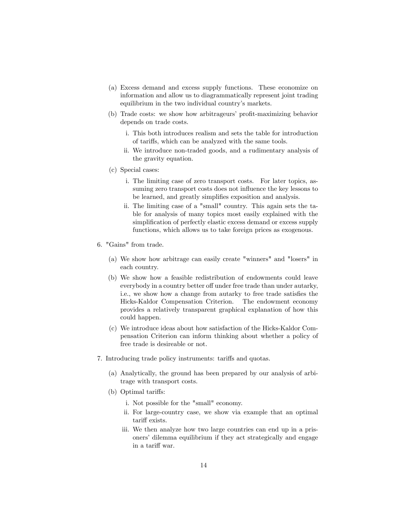- (a) Excess demand and excess supply functions. These economize on information and allow us to diagrammatically represent joint trading equilibrium in the two individual country's markets.
- (b) Trade costs: we show how arbitrageurs' profit-maximizing behavior depends on trade costs.
	- i. This both introduces realism and sets the table for introduction of tari§s, which can be analyzed with the same tools.
	- ii. We introduce non-traded goods, and a rudimentary analysis of the gravity equation.
- (c) Special cases:
	- i. The limiting case of zero transport costs. For later topics, assuming zero transport costs does not influence the key lessons to be learned, and greatly simplifies exposition and analysis.
	- ii. The limiting case of a "small" country. This again sets the table for analysis of many topics most easily explained with the simplification of perfectly elastic excess demand or excess supply functions, which allows us to take foreign prices as exogenous.
- 6. "Gains" from trade.
	- (a) We show how arbitrage can easily create "winners" and "losers" in each country.
	- (b) We show how a feasible redistribution of endowments could leave everybody in a country better off under free trade than under autarky, i.e., we show how a change from autarky to free trade satisfies the Hicks-Kaldor Compensation Criterion. The endowment economy provides a relatively transparent graphical explanation of how this could happen.
	- (c) We introduce ideas about how satisfaction of the Hicks-Kaldor Compensation Criterion can inform thinking about whether a policy of free trade is desireable or not.
- 7. Introducing trade policy instruments: tariffs and quotas.
	- (a) Analytically, the ground has been prepared by our analysis of arbitrage with transport costs.
	- (b) Optimal tariffs:
		- i. Not possible for the "small" economy.
		- ii. For large-country case, we show via example that an optimal tariff exists.
		- iii. We then analyze how two large countries can end up in a prisoners' dilemma equilibrium if they act strategically and engage in a tariff war.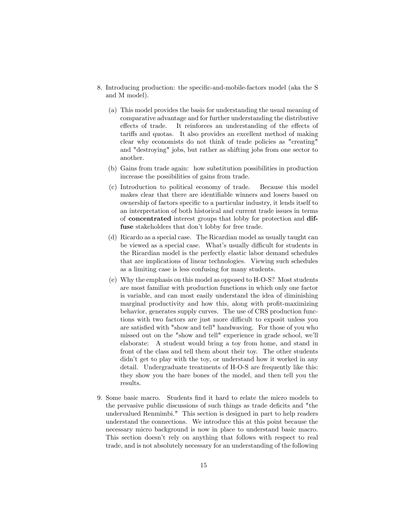- 8. Introducing production: the specific-and-mobile-factors model (aka the S and M model).
	- (a) This model provides the basis for understanding the usual meaning of comparative advantage and for further understanding the distributive effects of trade. It reinforces an understanding of the effects of tariffs and quotas. It also provides an excellent method of making clear why economists do not think of trade policies as "creating" and "destroying" jobs, but rather as shifting jobs from one sector to another.
	- (b) Gains from trade again: how substitution possibilities in production increase the possibilities of gains from trade.
	- (c) Introduction to political economy of trade. Because this model makes clear that there are identifiable winners and losers based on ownership of factors specific to a particular industry, it lends itself to an interpretation of both historical and current trade issues in terms of concentrated interest groups that lobby for protection and diffuse stakeholders that don't lobby for free trade.
	- (d) Ricardo as a special case. The Ricardian model as usually taught can be viewed as a special case. What's usually difficult for students in the Ricardian model is the perfectly elastic labor demand schedules that are implications of linear technologies. Viewing such schedules as a limiting case is less confusing for many students.
	- (e) Why the emphasis on this model as opposed to H-O-S? Most students are most familiar with production functions in which only one factor is variable, and can most easily understand the idea of diminishing marginal productivity and how this, along with profit-maximizing behavior, generates supply curves. The use of CRS production functions with two factors are just more difficult to exposit unless you are satisfied with "show and tell" handwaving. For those of you who missed out on the "show and tell" experience in grade school, weíll elaborate: A student would bring a toy from home, and stand in front of the class and tell them about their toy. The other students didn't get to play with the toy, or understand how it worked in any detail. Undergraduate treatments of H-O-S are frequently like this: they show you the bare bones of the model, and then tell you the results.
- 9. Some basic macro. Students find it hard to relate the micro models to the pervasive public discussions of such things as trade deficits and "the undervalued Renmimbi." This section is designed in part to help readers understand the connections. We introduce this at this point because the necessary micro background is now in place to understand basic macro. This section doesn't rely on anything that follows with respect to real trade, and is not absolutely necessary for an understanding of the following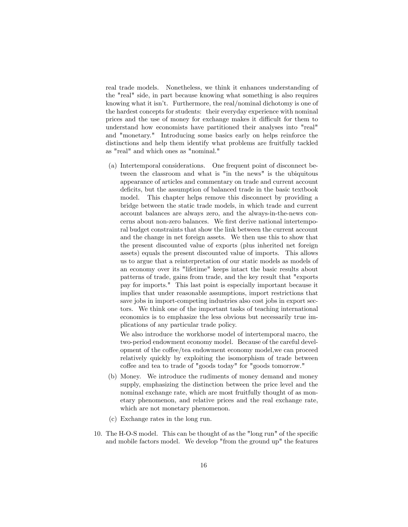real trade models. Nonetheless, we think it enhances understanding of the "real" side, in part because knowing what something is also requires knowing what it isn't. Furthermore, the real/nominal dichotomy is one of the hardest concepts for students: their everyday experience with nominal prices and the use of money for exchange makes it difficult for them to understand how economists have partitioned their analyses into "real" and "monetary." Introducing some basics early on helps reinforce the distinctions and help them identify what problems are fruitfully tackled as "real" and which ones as "nominal."

(a) Intertemporal considerations. One frequent point of disconnect between the classroom and what is "in the news" is the ubiquitous appearance of articles and commentary on trade and current account deficits, but the assumption of balanced trade in the basic textbook model. This chapter helps remove this disconnect by providing a bridge between the static trade models, in which trade and current account balances are always zero, and the always-in-the-news concerns about non-zero balances. We first derive national intertemporal budget constraints that show the link between the current account and the change in net foreign assets. We then use this to show that the present discounted value of exports (plus inherited net foreign assets) equals the present discounted value of imports. This allows us to argue that a reinterpretation of our static models as models of an economy over its "lifetime" keeps intact the basic results about patterns of trade, gains from trade, and the key result that "exports pay for imports." This last point is especially important because it implies that under reasonable assumptions, import restrictions that save jobs in import-competing industries also cost jobs in export sectors. We think one of the important tasks of teaching international economics is to emphasize the less obvious but necessarily true implications of any particular trade policy.

We also introduce the workhorse model of intertemporal macro, the two-period endowment economy model. Because of the careful development of the coffee/tea endowment economy model, we can proceed relatively quickly by exploiting the isomorphism of trade between coffee and tea to trade of "goods today" for "goods tomorrow."

- (b) Money. We introduce the rudiments of money demand and money supply, emphasizing the distinction between the price level and the nominal exchange rate, which are most fruitfully thought of as monetary phenomenon, and relative prices and the real exchange rate, which are not monetary phenomenon.
- (c) Exchange rates in the long run.
- 10. The H-O-S model. This can be thought of as the "long run" of the specific and mobile factors model. We develop "from the ground up" the features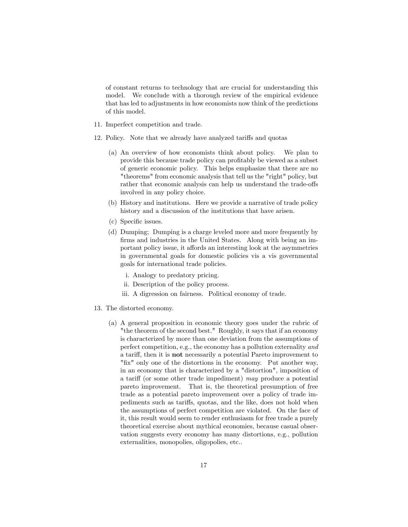of constant returns to technology that are crucial for understanding this model. We conclude with a thorough review of the empirical evidence that has led to adjustments in how economists now think of the predictions of this model.

- 11. Imperfect competition and trade.
- 12. Policy. Note that we already have analyzed tariffs and quotas
	- (a) An overview of how economists think about policy. We plan to provide this because trade policy can profitably be viewed as a subset of generic economic policy. This helps emphasize that there are no "theorems" from economic analysis that tell us the "right" policy, but rather that economic analysis can help us understand the trade-offs involved in any policy choice.
	- (b) History and institutions. Here we provide a narrative of trade policy history and a discussion of the institutions that have arisen.
	- (c) Specific issues.
	- (d) Dumping; Dumping is a charge leveled more and more frequently by firms and industries in the United States. Along with being an important policy issue, it affords an interesting look at the asymmetries in governmental goals for domestic policies vis a vis governmental goals for international trade policies.
		- i. Analogy to predatory pricing.
		- ii. Description of the policy process.
		- iii. A digression on fairness. Political economy of trade.
- 13. The distorted economy.
	- (a) A general proposition in economic theory goes under the rubric of "the theorem of the second best." Roughly, it says that if an economy is characterized by more than one deviation from the assumptions of perfect competition, e.g., the economy has a pollution externality and a tariff, then it is **not** necessarily a potential Pareto improvement to "fix" only one of the distortions in the economy. Put another way, in an economy that is characterized by a "distortion", imposition of a tariff (or some other trade impediment) may produce a potential pareto improvement. That is, the theoretical presumption of free trade as a potential pareto improvement over a policy of trade impediments such as tariffs, quotas, and the like, does not hold when the assumptions of perfect competition are violated. On the face of it, this result would seem to render enthusiasm for free trade a purely theoretical exercise about mythical economies, because casual observation suggests every economy has many distortions, e.g., pollution externalities, monopolies, oligopolies, etc..